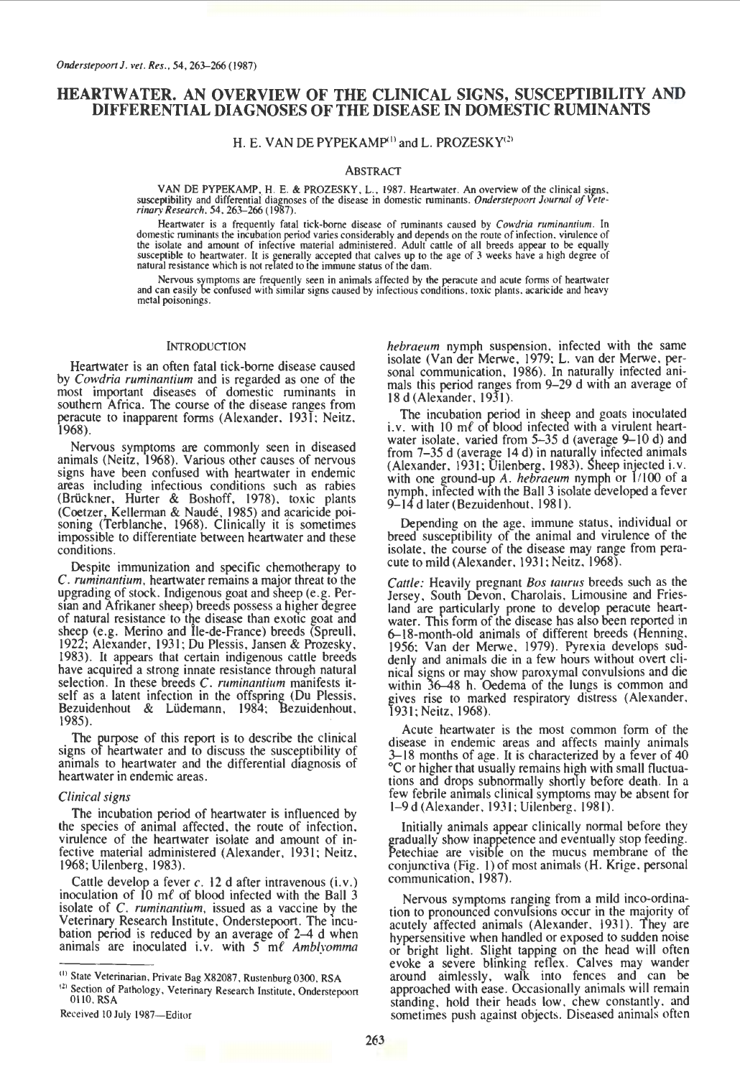# **HEARTWATER. AN OVERVIEW OF THE CLINICAL SIGNS, SUSCEPTIBILITY AND DIFFERENTIAL DIAGNOSES OF THE DISEASE IN DOMESTIC RUMINANTS**

H. E. VAN DE PYPEKAMP<sup>(1)</sup> and L. PROZESKY<sup>(2)</sup>

# ABSTRACT

VAN DE PYPEKAMP, H. E. & PROZESKY, L., 1987. Heartwater. An overview of the clinical signs, susceptibility and differential diagnoses of the disease in domestic ruminants. *Onderstepoort Journal of Veterinary Research.* 54. 263-266 { 1987).

Heartwater is a frequently fatal tick-borne disease of ruminants caused by *Cowdria ruminantium*. In domestic ruminants the incubation period varies considerably and depends on the route of infection, virulence of the isolate and amount of infective material administered. Adult cattle of all breeds appear to be equally susceptible to heartwater. It is generally accepted that calves up to the age of 3 weeks have a high degree of natu

Nervous symptoms are frequently seen in animals affected by the peracute and acute forms of heartwater and can easily be confused with similar signs caused by infectious conditions, toxic plants, acaricide and heavy metal poisonings.

## INTRODUCTION

Heartwater is an often fatal tick-borne disease caused by *Cowdria ruminantium* and is regarded as one of the most important diseases of domestic ruminants in southern Africa. The course of the disease ranges from peracute to inapparent forms (Alexander. 1931; Neitz. 1968).

Nervous symptoms are commonly seen in diseased animals (Neitz, 1968). Various other causes of nervous signs have been confused with heartwater in endemic areas including infectious conditions such as rabies (Brückner, Hurter & Boshoff, 1978), toxic plants (Coetzer, Kellerman & Naude. 1985) and acaricide poi- soning (Terblanche, 1968). Clinically it is sometimes impossible to differentiate between heartwater and these conditions.

Despite immunization and specific chemotherapy to *C. ruminantium.* heartwater remains a major threat to the upgrading of stock. Indigenous goat and sheep (e.g. Persian and Afrikaner sheep) breeds possess a higher degree of natural resistance to the disease than exotic goat and sheep (e.g. Merino and Île-de-France) breeds (Spreull, 1922; Alexander, 1931; Du Plessis. Jansen & Prozesky. 1983). It appears that certain indigenous cattle breeds have acquired a strong innate resistance through natural selection. In these breeds *C. ruminantium* manifests itself as a latent infection in the offspring (Du Plessis. Bezuidenhout & Ludemann, 1984; Bezuidenhout. 1985).

The purpose of this report is to describe the clinical signs of heartwater and to discuss the susceptibility of animals to heartwater and the differential diagnosis of heartwater in endemic areas.

## *Clinical signs*

The incubation period of heartwater is influenced by the species of animal affected, the route of infection. virulence of the heartwater isolate and amount of infective material administered (Alexander. 1931; Neitz. 1968; Uilenberg. 1983).

Cattle develop a fever *c*. 12 d after intravenous (i.v.) inoculation of  $10 \text{ m}$  of blood infected with the Ball 3 isolate of *C. ruminantium*, issued as a vaccine by the Veterinary Research Institute, Onderstepoort. The incubation period is reduced by an average of 2-4 d when animals are inoculated i.v. with 5 ml Amblyomma

*hebraeum* nymph suspension. infected with the same isolate (Van der Merwe. 1979; L. van der Merwe. personal communication. 1986). In naturally infected animals this period ranges from 9-29 d with an average of 18 d (Alexander. 1931):

The incubation period in sheep and goats inoculated i.v. with 10  $m\ell$  of blood infected with a virulent heartwater isolate, varied from 5-35 d (average 9-10 d) and from 7-35 d (average 14 d) in naturally infected animals (Alexander. 1931; Uilenberg. 1983). Sheep injected i.v. with one ground-up *A. hebraeum* nymph or *11100* of a nymph, infected with the Ball 3 isolate developed a fever 9-14 d later (Bezuidenhout, 1981).

Depending on the age. immune status. individual or breed susceptibility of the animal and virulence of the isolate. the course of the disease may range from peracute to mild (Alexander. 1931; Neitz. 1968).

*Cattle:* Heavily pregnant *Bos taurus* breeds such as the Jersey. South Devon. Charolais. Limousine and Friesland are particularly prone to develop peracute heartwater. This form of the disease has also been reported in 6-18-month-old animals of different breeds (Henning. 1956; Van der Merwe. 1979). Pyrexia develops suddenly and animals die in a few hours without overt clinical signs or may show paroxymal convulsions and die within  $36-48$  h. Oedema of the lungs is common and gives rise to marked respiratory distress (Alexander. 1931; Neitz. 1968).

Acute heartwater is the most common form of the disease in endemic areas and affects mainly animals 3–18 months of age. It is characterized by a fever of 40 oc or higher that usually remains high with small fluctuations and drops subnormally shortly before death. In a few febrile ammals clinical symptoms may be absent for l-9 d (Alexander. 1931; Uilenberg. 1981).

Initially animals appear clinically normal before they gradually show inappetence and eventually stop feeding. Petechiae are visible on the mucus membrane of the conjunctiva (Fig. I) of most animals **(H.** Krige. personal communication. 1987).

Nervous symptoms ranging from a mild inco-ordination to pronounced convulsions occur in the majority of acutely affected animals (Alexander, 1931). They are hypersensitive when handled or exposed to sudden noise or bright light. Slight tapping on the head will often evoke a severe blinking reflex. Calves may wander around aimlessly, walk into fences and can be approached with ease. Occasionally animals will remain standing. hold their heads low. chew constantly. and sometimes push against objects. Diseased animals often

<sup>&</sup>lt;sup>(1)</sup> State Veterinarian. Private Bag X82087, Rustenburg 0300, RSA  $^{(2)}$  Section of Pathology, Veterinary Research Institute, Onderstepoort OliO. RSA

Received 10 July 1987-Editor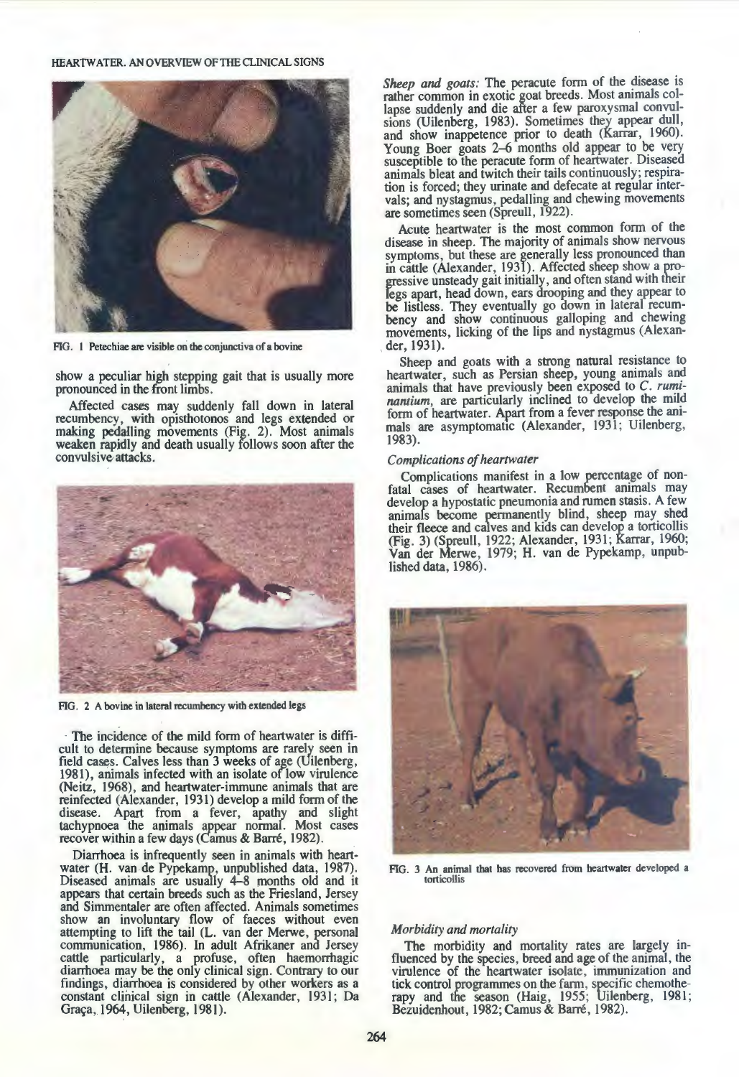# HEARTWATER. AN OVERVIEW OF THE CLINICAL SIGNS



FIG. I Petechiae are visible on the conjunctiva of a bovine

show a peculiar high stepping gait that is usually more pronounced in the front limbs.

Affected cases may suddenly fall down in lateral recumbency, with opisthotonos and legs extended or making pedalling movements (Fig. 2). Most animals weaken rapidly and death usually follows soon after the convulsive attacks.



FIG. 2 A bovine in lateral recumbency with extended legs

- The incidence of the mild form of heartwater is difficult to determine because symptoms are rarely seen in field cases. Calves less than 3 weeks of age (Uilenberg, 1981), animals infected with an isolate of low virulence (Neitz, 1968), and heartwater-immune animals that are reinfected (Alexander, 1931) develop a mild form of the disease. Apart from a fever, apathy and slight tachypnoea the animals appear normal. Most cases recover within a few days (Camus & Barre, 1982).

Diarrhoea is infrequently seen in animals with heartwater (H. van de Pypekamp, unpublished data, 1987). Diseased animals are usually 4-8 months old and it appears that certain breeds such as the Friesland, Jersey and Simmentaler are often affected. Animals sometimes show an involuntary flow of faeces without even attempting to lift the tail (L. van der Merwe, personal communication, 1986). In adult Afrikaner and Jersey cattle particularly, a profuse, often haemorrhagic diarrhoea may be the only clinical sign. Contrary to our findings, diarrhoea is considered by other workers as a constant clinical sign in cattle (Alexander, 1931; Da Graça, 1964, Uilenberg, 1981).

*Sheep and goats:* The peracute form of the disease is rather common in exotic goat breeds. Most animals collapse suddenly and die after a few paroxysmal convulsions (Uilenberg, 1983). Sometimes they appear dull, and show inappetence prior to death (Karrar, 1960). Young Boer goats 2–6 months old appear to be very susceptible to the peracute form of heartwater. Diseased animals bleat and twitch their tails continuously; respiration is forced; they urinate and defecate at regular intervals; and nystagmus, pedalling and chewing movements are sometimes seen (Spreull, 1922).

Acute heartwater is the most common form of the disease in sheep. The majority of animals show nervous symptoms, but these are generally less pronounced than in cattle (Alexander, 1931). Affected sheep show a progressive unsteady gait initially, and often stand with their legs apart, head down, ears drooping and they appear to be listless. They eventually go down in lateral recumbency and show continuous galloping and chewing movements, licking of the lips and nystagmus (Alexan- . der, 1931).

Sheep and goats with a strong natural resistance to heartwater, such as Persian sheep, young animals and animals that have previously been exposed to *C. ruminantium,* are particularly inclined to develop the mild form of heartwater. Apart from a fever response the animals are asymptomatic (Alexander, 1931; Uilenberg, 1983).

#### *Complications of heartwater*

Complications manifest in a low percentage of nonfatal cases of heartwater. Recumbent animals may develop a hypostatic pneumonia and rumen stasis. A few animals become permanently blind, sheep may shed their fleece and ca1ves and kids can develop a torticollis (Fig. 3) (Spreull, 1922; Alexander, 1931; Karrar, 1960; Van der Merwe, 1979; H. van de Pypekamp, unpublished data, 1986).



FIG. 3 An animal that has recovered from heartwater developed a torticollis

# *Morbidity and mortality*

The morbidity and mortality rates are largely influenced by the species, breed and age of the animal, the virulence of the heartwater isolate, immunization and tick control programmes on the farm, specific chemotherapy and the season (Haig, 1955; Uilenberg, 1981; Bezuidenhout, 1982; Camus & Barre, 1982).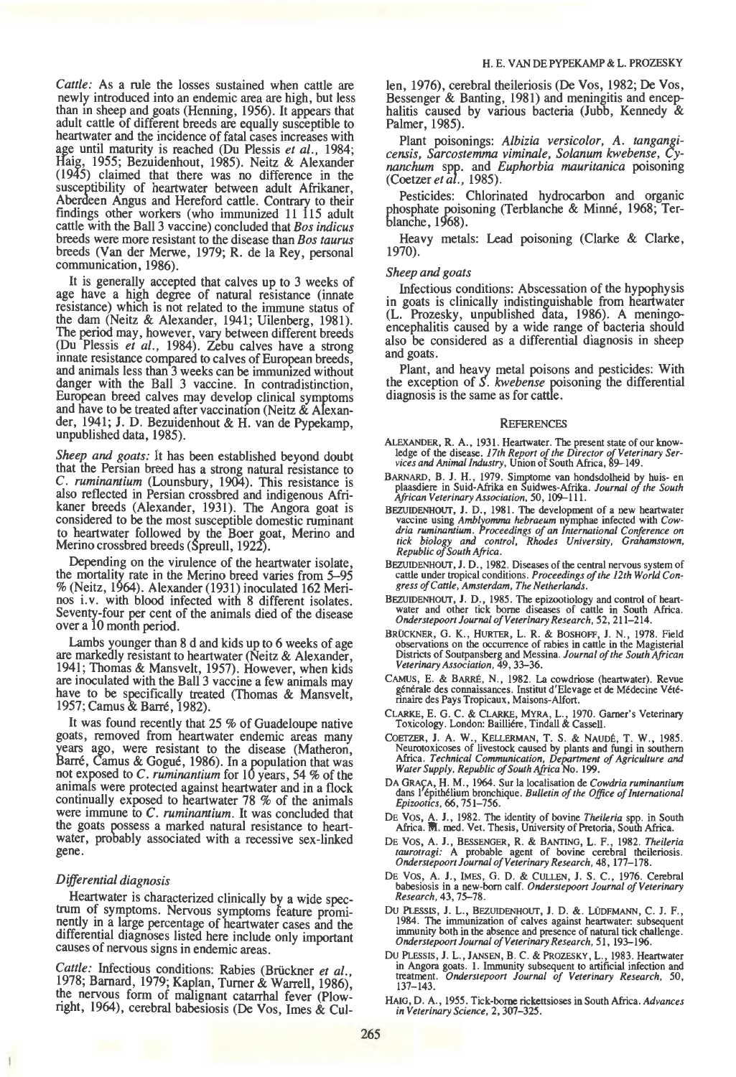*Cattle:* As a rule the losses sustained when cattle are newly introduced into an endemic area are high, but less than in sheep and goats (Henning, 1956). It appears that adult cattle of different breeds are equally susceptible to heartwater and the incidence of fatal cases increases with age until maturity is reached (Du Plessis *et al.,* 1984; Haig, 1955; Bezuidenhout, 1985). Neitz & Alexander (1945) claimed that there was no difference in the susceptibility of heartwater between adult Afrikaner, Aberdeen Angus and Hereford cattle. Contrary to their findings other workers (who immunized 11 115 adult cattle with the Ball3 vaccine) concluded that *Bos indicus*  breeds were more resistant to the disease than *Bos taurus*  breeds (Van der Merwe, 1979; R. de Ia Rey, personal communication, 1986).

It is generally accepted that calves up to 3 weeks of age have a high degree of natural resistance (innate resistance) which is not related to the immune status of the dam (Neitz & Alexander, 1941; Uilenberg, 1981). The period may, however, vary between different breeds (Du Plessis *et al.*, 1984). Zebu calves have a strong innate resistance compared to calves of European breeds, and animals less than 3 weeks can be immunized without danger with the Ball 3 vaccine. In contradistinction, European breed calves may develop clinical symptoms and have to be treated after vaccination (Neitz  $\&$  Alexander, 1941; **J.** D. Bezuidenhout & **H.** van de Pypekamp, unpublished data, 1985).

*Sheep and goats:* It has been established beyond doubt that the Persian breed has a strong natural resistance to *C. ruminantium* (Lounsbury, 1904). This resistance is also reflected in Persian crossbred and indigenous Afrikaner breeds (Alexander, 1931). The Angora goat is considered to be the most susceptible domestic ruminant to heartwater followed by the Boer goat, Merino and Merino crossbred breeds (Spreull, 1922).

Depending on the virulence of the heartwater isolate, the mortality rate in the Merino breed varies from 5-95 %(Neitz, 1964). Alexander (1931) inoculated 162 Merinos i. v. with blood infected with 8 different isolates. Seventy-four per cent of the animals died of the disease over a 10 month period.

Lambs younger than 8 d and kids up to 6 weeks of age are markedly resistant to heartwater (Neitz & Alexander, 1941; Thomas & Mansvelt, 1957). However, when kids are inoculated with the Ball 3 vaccine a few animals may have to be specifically treated (Thomas & Mansvelt, 1957; Camus & Barre, 1982).

It was found recently that 25 % of Guadeloupe native goats, removed from heartwater endemic areas many years ago, were resistant to the disease (Matheron, Barre, Camus & Gogue, 1986). In a population that was not exposed to *C. ruminantium* for 10 years, 54 % of the animals were protected against heartwater and in a flock continually exposed to heartwater 78 % of the animals were immune to *C. ruminantium.* It was concluded that the goats possess a marked natural resistance to heartwater, probably associated with a recessive sex-linked gene.

## *Differential diagnosis*

Heartwater is characterized clinically by a wide spectrum of symptoms. Nervous symptoms feature prominently in a large percentage of heartwater cases and the differential diagnoses listed here include only important causes of nervous signs in endemic areas.

*Cattle:* Infectious conditions: Rabies (Bruckner *et al.,*  1978; Barnard, 1979; Kaplan, Turner & Warrell, 1986), the nervous form of malignant catarrhal fever (Plowright, 1964), cerebral babesiosis (De Vos, Imes  $\&$  Cullen, 1976), cerebral theileriosis (De Vos, 1982; De Vos, Bessenger & Banting, 1981) and meningitis and encephalitis caused by various bacteria (Jubb, Kennedy & Palmer, 1985).

Plant poisonings: *Albizia versicolor, A. tangangicensis, Sarcostemma viminale, Solanum kwebense, Cynanchum* spf.. and *Euphorbia mauritanica* poisoning *(Coetzereta* ., 1985).

Pesticides: Chlorinated hydrocarbon and organic phosphate poisoning (Terblanche & Minné, 1968; Terblanche, 1968).

Heavy metals: Lead poisoning (Clarke & Clarke, 1970).

## *Sheep and goats*

Infectious conditions: Abscessation of the hypophysis in goats is clinically indistinguishable from heartwater (L. Prozesky, unpublished data, 1986). A meningoencephalitis caused by a wide range of bacteria should also be considered as a differential diagnosis in sheep and goats.

Plant, and heavy metal poisons and pesticides: With the exception of *S. kwebense* poisoning the differential diagnosis is the same as for cattle.

#### **REFERENCES**

- ALEXANDER, R. A., 1931. Heartwater. The present state of our know-ledge of the disease. *17th Report of the Director of Veterinary Ser-vices and Anima/Industry,* Union of South Africa, 89-149.
- BARNARD, B. J. H., 1979. Sirnptome van hondsdolheid by huis- en plaasdiere in Suid-Afrika en Suidwes-Afrika. *Journal of the South African Veterinary Association,* 50, 109-111.
- BEZUIDENHOUT, J. D., 1981. The development of a new heartwater<br>vaccine using Amblyomma hebraeum nymphae infected with Cow-<br>dria ruminantium. Proceedings of an International Conference on<br>tick biology and control, Rhodes Un
- BFZUIDENHOUf, J. D., 1982. Diseases of the central nervous system of cattle under tropical conditions. *Proceedings of the 12th World Congress of Cattle, Amsterdam, The Netherlands.*
- BEZUIDENHOUT, J. D., 1985. The epizootiology and control of heartwater and other tick borne diseases of cattle in South Africa. *Onderstepoort Journal of Veterinary Research,* 52, 211-214.
- BRUCKNER, G. K., HURTER, L. R. & BOSHOFF, **J.** N., 1978. Field observations on the occurrence of rabies in cattle in the Magisterial Districts of Soutpansberg and Messina. *Journal of the South African Veterinary Association,* 49,33-36.
- CAMUs, E. & BARRE, N., 1982. La cowdriose (heartwater). Revue generale des connaissances. lnstitut d'Elevage et de Medecine Veterinaire des Pays Tropicaux, Maisons-Alfort.
- CLARKE, E. G. C. & CLARKE, MYRA, L. , 1970. Gamer's Veterinary Toxicology. London: Bailliere, Tindall & Cassell.
- COETZER, **J.** A. W., KELLERMAN, T. S. & NAUDE, T. W., 1985. Neurotoxicoses of livestock caused by plants and fungi in southern Africa. *Technical Communication, Department of Agriculture and Water Supply, Republic of South AJ!fca* No. 199.
- DA GRAÇA, H. M., 1964. Sur la localisation de *Cowdria ruminantium* dans l'épithélium bronchique. *Bulletin of the Office of International Epizoottcs,* 66,751-756.
- DE Vos, A. **J.,** 1982. The identity of bovine *Theileria* spp. in South Africa. **WI.** med. Vet. Thesis, University of Pretoria, South Africa.
- DEVOS, A. *1.,* BESSENGER, R. & BANTING, L. F., 1982. *Theileria taurotragi:* A probable agent of bovine cerebral theileriosis. *Onderstepoort Journal of Veterinary Research,* 48, 177-178.
- DE Vos, A. **1.,** IMES, G. D. & CULLEN, J. S. C., 1976. Cerebral babesiosis in a new-born calf. *Onderstepoort Journal of Veterinary Research,43,* 75-78.
- Du PLESSIS, **J.** L., BEZUIDENHOUf, **J.** D.&. LUDEMANN, C. J. F., 1984. 1be immunization of calves against heartwater: subsequent immunity both in the absence and presence of natural tick challenge. *Onderstepoort Journal of Veterinary Research,* 51, 193-196.
- DUPLESSIS, **J.** L., JANSEN, B. C. & PROZESKY, L., 1983. Heartwater in Angora goats. 1. Immunity subsequent to artificial infection and treatment. *Onderstepoort Journal of Veterinary Research,* 50, 137-143.
- HAIG, D. A., 1955. Tick-borne rickettsioses in South Africa. *Advances in Veterinary Science,* 2, 307-325.